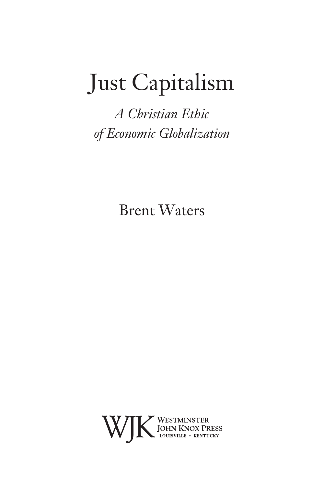# Just Capitalism

*A Christian Ethic of Economic Globalization*

Brent Waters

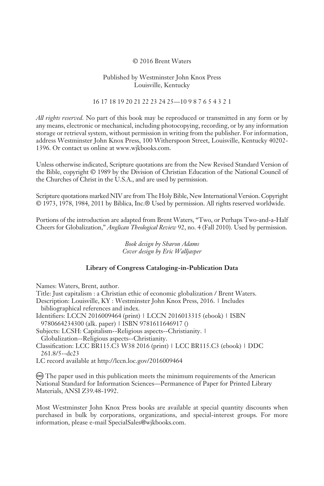#### © 2016 Brent Waters

#### Published by Westminster John Knox Press Louisville, Kentucky

### 16 17 18 19 20 21 22 23 24 25—10 9 8 7 6 5 4 3 2 1

*All rights reserved.* No part of this book may be reproduced or transmitted in any form or by any means, electronic or mechanical, including photocopying, recording, or by any information storage or retrieval system, without permission in writing from the publisher. For information, address Westminster John Knox Press, 100 Witherspoon Street, Louisville, Kentucky 40202- 1396. Or contact us online at www.wjkbooks.com.

Unless otherwise indicated, Scripture quotations are from the New Revised Standard Version of the Bible, copyright © 1989 by the Division of Christian Education of the National Council of the Churches of Christ in the U.S.A., and are used by permission.

Scripture quotations marked NIV are from The Holy Bible, New International Version. Copyright © 1973, 1978, 1984, 2011 by Biblica, Inc.® Used by permission. All rights reserved worldwide.

Portions of the introduction are adapted from Brent Waters, "Two, or Perhaps Two-and-a-Half Cheers for Globalization," *Anglican Theological Review* 92, no. 4 (Fall 2010). Used by permission.

> *Book design by Sharon Adams Cover design by Eric Walljasper*

#### **Library of Congress Cataloging-in-Publication Data**

Names: Waters, Brent, author.

Title: Just capitalism : a Christian ethic of economic globalization / Brent Waters.

- Description: Louisville, KY : Westminster John Knox Press, 2016. | Includes bibliographical references and index.
- Identifiers: LCCN 2016009464 (print) | LCCN 2016013315 (ebook) | ISBN 9780664234300 (alk. paper) | ISBN 9781611646917 ()

Subjects: LCSH: Capitalism--Religious aspects--Christianity. | Globalization--Religious aspects--Christianity.

Classification: LCC BR115.C3 W38 2016 (print) | LCC BR115.C3 (ebook) | DDC 261.8/5--dc23

LC record available at http://lccn.loc.gov/2016009464

 The paper used in this publication meets the minimum requirements of the American National Standard for Information Sciences—Permanence of Paper for Printed Library Materials, ANSI Z39.48-1992.

Most Westminster John Knox Press books are available at special quantity discounts when purchased in bulk by corporations, organizations, and special-interest groups. For more information, please e-mail SpecialSales@wjkbooks.com.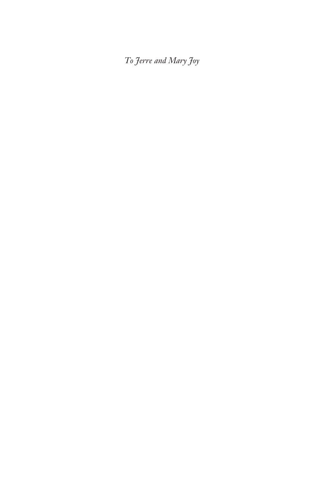*To Jerre and Mary Joy*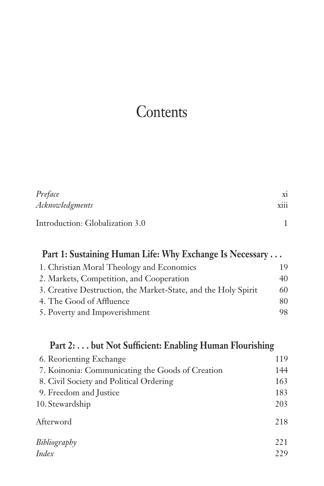# **Contents**

| Preface                         | X1          |
|---------------------------------|-------------|
| Acknowledgments                 | <b>X111</b> |
| Introduction: Globalization 3.0 |             |

| Part 1: Sustaining Human Life: Why Exchange Is Necessary       |    |  |
|----------------------------------------------------------------|----|--|
| 1. Christian Moral Theology and Economics                      | 19 |  |
| 2. Markets, Competition, and Cooperation                       | 40 |  |
| 3. Creative Destruction, the Market-State, and the Holy Spirit | 60 |  |
| 4. The Good of Affluence                                       | 80 |  |
| 5. Poverty and Impoverishment                                  | 98 |  |

### **Part 2: . . . but Not Sufficient: Enabling Human Flourishing**

| 6. Reorienting Exchange                          | 119 |
|--------------------------------------------------|-----|
| 7. Koinonia: Communicating the Goods of Creation | 144 |
| 8. Civil Society and Political Ordering          | 163 |
| 9. Freedom and Justice                           | 183 |
| 10. Stewardship                                  | 203 |
| Afterword                                        | 218 |
| Bibliography                                     | 221 |
| Index                                            | 229 |
|                                                  |     |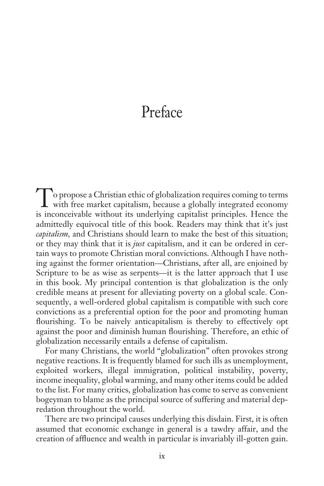## Preface

To propose a Christian ethic of globalization requires coming to terms with free market capitalism, because a globally integrated economy is inconceivable without its underlying capitalist principles. Hence the admittedly equivocal title of this book. Readers may think that it's just *capitalism,* and Christians should learn to make the best of this situation; or they may think that it is *just* capitalism, and it can be ordered in certain ways to promote Christian moral convictions. Although I have nothing against the former orientation—Christians, after all, are enjoined by Scripture to be as wise as serpents—it is the latter approach that I use in this book. My principal contention is that globalization is the only credible means at present for alleviating poverty on a global scale. Consequently, a well-ordered global capitalism is compatible with such core convictions as a preferential option for the poor and promoting human flourishing. To be naively anticapitalism is thereby to effectively opt against the poor and diminish human flourishing. Therefore, an ethic of globalization necessarily entails a defense of capitalism.

For many Christians, the world "globalization" often provokes strong negative reactions. It is frequently blamed for such ills as unemployment, exploited workers, illegal immigration, political instability, poverty, income inequality, global warming, and many other items could be added to the list. For many critics, globalization has come to serve as convenient bogeyman to blame as the principal source of suffering and material depredation throughout the world.

There are two principal causes underlying this disdain. First, it is often assumed that economic exchange in general is a tawdry affair, and the creation of affluence and wealth in particular is invariably ill-gotten gain.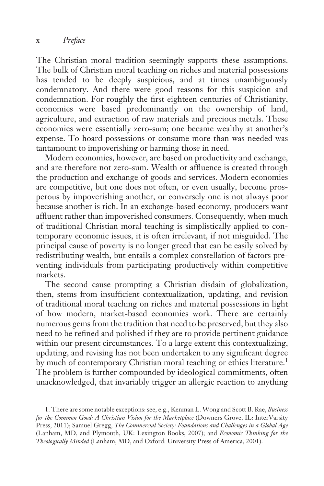The Christian moral tradition seemingly supports these assumptions. The bulk of Christian moral teaching on riches and material possessions has tended to be deeply suspicious, and at times unambiguously condemnatory. And there were good reasons for this suspicion and condemnation. For roughly the first eighteen centuries of Christianity, economies were based predominantly on the ownership of land, agriculture, and extraction of raw materials and precious metals. These economies were essentially zero-sum; one became wealthy at another's expense. To hoard possessions or consume more than was needed was tantamount to impoverishing or harming those in need.

Modern economies, however, are based on productivity and exchange, and are therefore not zero-sum. Wealth or affluence is created through the production and exchange of goods and services. Modern economies are competitive, but one does not often, or even usually, become prosperous by impoverishing another, or conversely one is not always poor because another is rich. In an exchange-based economy, producers want affluent rather than impoverished consumers. Consequently, when much of traditional Christian moral teaching is simplistically applied to contemporary economic issues, it is often irrelevant, if not misguided. The principal cause of poverty is no longer greed that can be easily solved by redistributing wealth, but entails a complex constellation of factors preventing individuals from participating productively within competitive markets.

The second cause prompting a Christian disdain of globalization, then, stems from insufficient contextualization, updating, and revision of traditional moral teaching on riches and material possessions in light of how modern, market-based economies work. There are certainly numerous gems from the tradition that need to be preserved, but they also need to be refined and polished if they are to provide pertinent guidance within our present circumstances. To a large extent this contextualizing, updating, and revising has not been undertaken to any significant degree by much of contemporary Christian moral teaching or ethics literature.<sup>1</sup> The problem is further compounded by ideological commitments, often unacknowledged, that invariably trigger an allergic reaction to anything

1. There are some notable exceptions: see, e.g., Kenman L. Wong and Scott B. Rae, *Business for the Common Good: A Christian Vision for the Marketplace* (Downers Grove, IL: InterVarsity Press, 2011); Samuel Gregg, *The Commercial Society: Foundations and Challenges in a Global Age* (Lanham, MD, and Plymouth, UK: Lexington Books, 2007); and *Economic Thinking for the Theologically Minded* (Lanham, MD, and Oxford: University Press of America, 2001).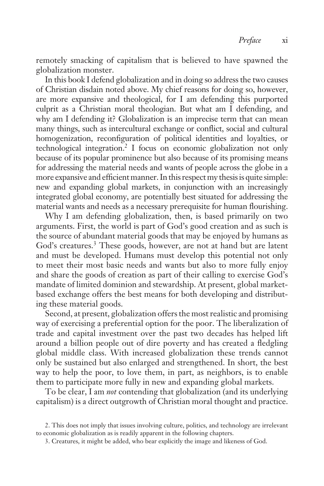remotely smacking of capitalism that is believed to have spawned the globalization monster.

In this book I defend globalization and in doing so address the two causes of Christian disdain noted above. My chief reasons for doing so, however, are more expansive and theological, for I am defending this purported culprit as a Christian moral theologian. But what am I defending, and why am I defending it? Globalization is an imprecise term that can mean many things, such as intercultural exchange or conflict, social and cultural homogenization, reconfiguration of political identities and loyalties, or technological integration.2 I focus on economic globalization not only because of its popular prominence but also because of its promising means for addressing the material needs and wants of people across the globe in a more expansive and efficient manner. In this respect my thesis is quite simple: new and expanding global markets, in conjunction with an increasingly integrated global economy, are potentially best situated for addressing the material wants and needs as a necessary prerequisite for human flourishing.

Why I am defending globalization, then, is based primarily on two arguments. First, the world is part of God's good creation and as such is the source of abundant material goods that may be enjoyed by humans as God's creatures.<sup>3</sup> These goods, however, are not at hand but are latent and must be developed. Humans must develop this potential not only to meet their most basic needs and wants but also to more fully enjoy and share the goods of creation as part of their calling to exercise God's mandate of limited dominion and stewardship. At present, global marketbased exchange offers the best means for both developing and distributing these material goods.

Second, at present, globalization offers the most realistic and promising way of exercising a preferential option for the poor. The liberalization of trade and capital investment over the past two decades has helped lift around a billion people out of dire poverty and has created a fledgling global middle class. With increased globalization these trends cannot only be sustained but also enlarged and strengthened. In short, the best way to help the poor, to love them, in part, as neighbors, is to enable them to participate more fully in new and expanding global markets.

To be clear, I am *not* contending that globalization (and its underlying capitalism) is a direct outgrowth of Christian moral thought and practice.

<sup>2.</sup> This does not imply that issues involving culture, politics, and technology are irrelevant to economic globalization as is readily apparent in the following chapters.

<sup>3.</sup> Creatures, it might be added, who bear explicitly the image and likeness of God.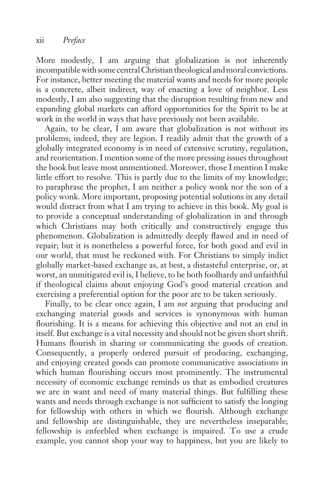More modestly, I am arguing that globalization is not inherently incompatible with some central Christian theological and moral convictions. For instance, better meeting the material wants and needs for more people is a concrete, albeit indirect, way of enacting a love of neighbor. Less modestly, I am also suggesting that the disruption resulting from new and expanding global markets can afford opportunities for the Spirit to be at work in the world in ways that have previously not been available.

Again, to be clear, I am aware that globalization is not without its problems; indeed, they are legion. I readily admit that the growth of a globally integrated economy is in need of extensive scrutiny, regulation, and reorientation. I mention some of the more pressing issues throughout the book but leave most unmentioned. Moreover, those I mention I make little effort to resolve. This is partly due to the limits of my knowledge; to paraphrase the prophet, I am neither a policy wonk nor the son of a policy wonk. More important, proposing potential solutions in any detail would distract from what I am trying to achieve in this book. My goal is to provide a conceptual understanding of globalization in and through which Christians may both critically and constructively engage this phenomenon. Globalization is admittedly deeply flawed and in need of repair; but it is nonetheless a powerful force, for both good and evil in our world, that must be reckoned with. For Christians to simply indict globally market-based exchange as, at best, a distasteful enterprise, or, at worst, an unmitigated evil is, I believe, to be both foolhardy and unfaithful if theological claims about enjoying God's good material creation and exercising a preferential option for the poor are to be taken seriously.

Finally, to be clear once again, I am *not* arguing that producing and exchanging material goods and services is synonymous with human flourishing. It is a means for achieving this objective and not an end in itself. But exchange is a vital necessity and should not be given short shrift. Humans flourish in sharing or communicating the goods of creation. Consequently, a properly ordered pursuit of producing, exchanging, and enjoying created goods can promote communicative associations in which human flourishing occurs most prominently. The instrumental necessity of economic exchange reminds us that as embodied creatures we are in want and need of many material things. But fulfilling these wants and needs through exchange is not sufficient to satisfy the longing for fellowship with others in which we flourish. Although exchange and fellowship are distinguishable, they are nevertheless inseparable; fellowship is enfeebled when exchange is impaired. To use a crude example, you cannot shop your way to happiness, but you are likely to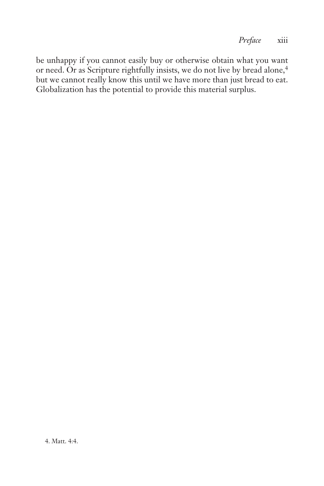be unhappy if you cannot easily buy or otherwise obtain what you want or need. Or as Scripture rightfully insists, we do not live by bread alone,<sup>4</sup> but we cannot really know this until we have more than just bread to eat. Globalization has the potential to provide this material surplus.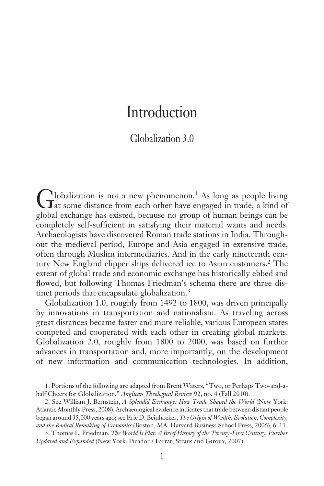### Introduction

### Globalization 3.0

Globalization is not a new phenomenon.1 As long as people living at some distance from each other have engaged in trade, a kind of global exchange has existed, because no group of human beings can be completely self-sufficient in satisfying their material wants and needs. Archaeologists have discovered Roman trade stations in India. Throughout the medieval period, Europe and Asia engaged in extensive trade, often through Muslim intermediaries. And in the early nineteenth century New England clipper ships delivered ice to Asian customers.<sup>2</sup> The extent of global trade and economic exchange has historically ebbed and flowed, but following Thomas Friedman's schema there are three distinct periods that encapsulate globalization.<sup>3</sup>

Globalization 1.0, roughly from 1492 to 1800, was driven principally by innovations in transportation and nationalism. As traveling across great distances became faster and more reliable, various European states competed and cooperated with each other in creating global markets. Globalization 2.0, roughly from 1800 to 2000, was based on further advances in transportation and, more importantly, on the development of new information and communication technologies. In addition,

<sup>1.</sup> Portions of the following are adapted from Brent Waters, "Two, or Perhaps Two-and-ahalf Cheers for Globalization," *Anglican Theological Review* 92, no. 4 (Fall 2010).

<sup>2.</sup> See William J. Bernstein, *A Splendid Exchange: How Trade Shaped the World* (New York: Atlantic Monthly Press, 2008). Archaeological evidence indicates that trade between distant people began around 35,000 years ago; see Eric D. Beinhocker, *The Origin of Wealth: Evolution, Complexity, and the Radical Remaking of Economics* (Boston, MA: Harvard Business School Press, 2006), 6–11.

<sup>3.</sup> Thomas L. Friedman, *The World Is Flat: A Brief History of the Twenty-First Century, Further Updated and Expanded* (New York: Picador / Farrar, Straus and Giroux, 2007).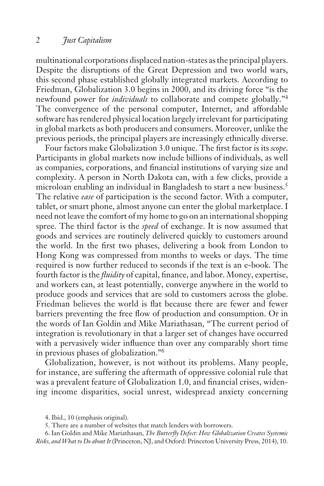multinational corporations displaced nation-states as the principal players. Despite the disruptions of the Great Depression and two world wars, this second phase established globally integrated markets. According to Friedman, Globalization 3.0 begins in 2000, and its driving force "is the newfound power for *individuals* to collaborate and compete globally."4 The convergence of the personal computer, Internet, and affordable software has rendered physical location largely irrelevant for participating in global markets as both producers and consumers. Moreover, unlike the previous periods, the principal players are increasingly ethnically diverse.

Four factors make Globalization 3.0 unique. The first factor is its *scope*. Participants in global markets now include billions of individuals, as well as companies, corporations, and financial institutions of varying size and complexity. A person in North Dakota can, with a few clicks, provide a microloan enabling an individual in Bangladesh to start a new business.<sup>5</sup> The relative *ease* of participation is the second factor. With a computer, tablet, or smart phone, almost anyone can enter the global marketplace. I need not leave the comfort of my home to go on an international shopping spree. The third factor is the *speed* of exchange. It is now assumed that goods and services are routinely delivered quickly to customers around the world. In the first two phases, delivering a book from London to Hong Kong was compressed from months to weeks or days. The time required is now further reduced to seconds if the text is an e-book. The fourth factor is the *fluidity* of capital, finance, and labor. Money, expertise, and workers can, at least potentially, converge anywhere in the world to produce goods and services that are sold to customers across the globe. Friedman believes the world is flat because there are fewer and fewer barriers preventing the free flow of production and consumption. Or in the words of Ian Goldin and Mike Mariathasan, "The current period of integration is revolutionary in that a larger set of changes have occurred with a pervasively wider influence than over any comparably short time in previous phases of globalization."6

Globalization, however, is not without its problems. Many people, for instance, are suffering the aftermath of oppressive colonial rule that was a prevalent feature of Globalization 1.0, and financial crises, widening income disparities, social unrest, widespread anxiety concerning

<sup>4.</sup> Ibid., 10 (emphasis original).

<sup>5.</sup> There are a number of websites that match lenders with borrowers.

<sup>6.</sup> Ian Goldin and Mike Mariathasan, *The Butterfly Defect: How Globalization Creates Systemic Risks, and What to Do about It* (Princeton, NJ, and Oxford: Princeton University Press, 2014), 10.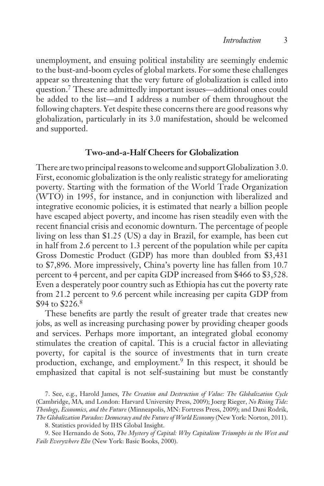unemployment, and ensuing political instability are seemingly endemic to the bust-and-boom cycles of global markets. For some these challenges appear so threatening that the very future of globalization is called into question.7 These are admittedly important issues—additional ones could be added to the list—and I address a number of them throughout the following chapters. Yet despite these concerns there are good reasons why globalization, particularly in its 3.0 manifestation, should be welcomed and supported.

### **Two-and-a-Half Cheers for Globalization**

There are two principal reasons to welcome and support Globalization 3.0. First, economic globalization is the only realistic strategy for ameliorating poverty. Starting with the formation of the World Trade Organization (WTO) in 1995, for instance, and in conjunction with liberalized and integrative economic policies, it is estimated that nearly a billion people have escaped abject poverty, and income has risen steadily even with the recent financial crisis and economic downturn. The percentage of people living on less than \$1.25 (US) a day in Brazil, for example, has been cut in half from 2.6 percent to 1.3 percent of the population while per capita Gross Domestic Product (GDP) has more than doubled from \$3,431 to \$7,896. More impressively, China's poverty line has fallen from 10.7 percent to 4 percent, and per capita GDP increased from \$466 to \$3,528. Even a desperately poor country such as Ethiopia has cut the poverty rate from 21.2 percent to 9.6 percent while increasing per capita GDP from \$94 to \$226.8

These benefits are partly the result of greater trade that creates new jobs, as well as increasing purchasing power by providing cheaper goods and services. Perhaps more important, an integrated global economy stimulates the creation of capital. This is a crucial factor in alleviating poverty, for capital is the source of investments that in turn create production, exchange, and employment.<sup>9</sup> In this respect, it should be emphasized that capital is not self-sustaining but must be constantly

<sup>7.</sup> See, e.g., Harold James, *The Creation and Destruction of Value: The Globalization Cycle* (Cambridge, MA, and London: Harvard University Press, 2009); Joerg Rieger, *No Rising Tide: Theology, Economics, and the Future* (Minneapolis, MN: Fortress Press, 2009); and Dani Rodrik, *The Globalization Paradox: Democracy and the Future of World Economy* (New York: Norton, 2011).

<sup>8.</sup> Statistics provided by IHS Global Insight.

<sup>9.</sup> See Hernando de Soto, *The Mystery of Capital: Why Capitalism Triumphs in the West and Fails Everywhere Else* (New York: Basic Books, 2000).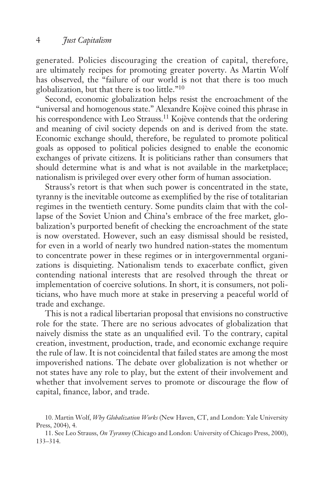generated. Policies discouraging the creation of capital, therefore, are ultimately recipes for promoting greater poverty. As Martin Wolf has observed, the "failure of our world is not that there is too much globalization, but that there is too little."10

Second, economic globalization helps resist the encroachment of the "universal and homogenous state." Alexandre Kojève coined this phrase in his correspondence with Leo Strauss.<sup>11</sup> Kojève contends that the ordering and meaning of civil society depends on and is derived from the state. Economic exchange should, therefore, be regulated to promote political goals as opposed to political policies designed to enable the economic exchanges of private citizens. It is politicians rather than consumers that should determine what is and what is not available in the marketplace; nationalism is privileged over every other form of human association.

Strauss's retort is that when such power is concentrated in the state, tyranny is the inevitable outcome as exemplified by the rise of totalitarian regimes in the twentieth century. Some pundits claim that with the collapse of the Soviet Union and China's embrace of the free market, globalization's purported benefit of checking the encroachment of the state is now overstated. However, such an easy dismissal should be resisted, for even in a world of nearly two hundred nation-states the momentum to concentrate power in these regimes or in intergovernmental organizations is disquieting. Nationalism tends to exacerbate conflict, given contending national interests that are resolved through the threat or implementation of coercive solutions. In short, it is consumers, not politicians, who have much more at stake in preserving a peaceful world of trade and exchange.

This is not a radical libertarian proposal that envisions no constructive role for the state. There are no serious advocates of globalization that naively dismiss the state as an unqualified evil. To the contrary, capital creation, investment, production, trade, and economic exchange require the rule of law. It is not coincidental that failed states are among the most impoverished nations. The debate over globalization is not whether or not states have any role to play, but the extent of their involvement and whether that involvement serves to promote or discourage the flow of capital, finance, labor, and trade.

<sup>10.</sup> Martin Wolf, *Why Globalization Works* (New Haven, CT, and London: Yale University Press, 2004), 4.

<sup>11.</sup> See Leo Strauss, *On Tyranny* (Chicago and London: University of Chicago Press, 2000), 133–314.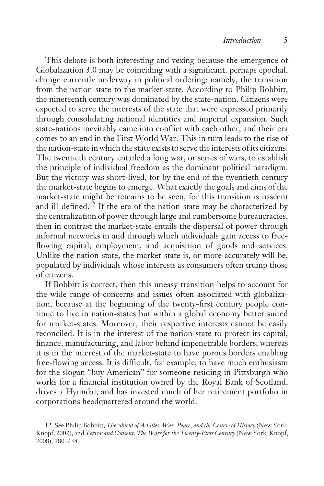This debate is both interesting and vexing because the emergence of Globalization 3.0 may be coinciding with a significant, perhaps epochal, change currently underway in political ordering: namely, the transition from the nation-state to the market-state. According to Philip Bobbitt, the nineteenth century was dominated by the state-nation. Citizens were expected to serve the interests of the state that were expressed primarily through consolidating national identities and imperial expansion. Such state-nations inevitably came into conflict with each other, and their era comes to an end in the First World War. This in turn leads to the rise of the nation-state in which the state exists to serve the interests of its citizens. The twentieth century entailed a long war, or series of wars, to establish the principle of individual freedom as the dominant political paradigm. But the victory was short-lived, for by the end of the twentieth century the market-state begins to emerge. What exactly the goals and aims of the market-state might be remains to be seen, for this transition is nascent and ill-defined.12 If the era of the nation-state may be characterized by the centralization of power through large and cumbersome bureaucracies, then in contrast the market-state entails the dispersal of power through informal networks in and through which individuals gain access to freeflowing capital, employment, and acquisition of goods and services. Unlike the nation-state, the market-state is, or more accurately will be, populated by individuals whose interests as consumers often trump those of citizens.

If Bobbitt is correct, then this uneasy transition helps to account for the wide range of concerns and issues often associated with globalization, because at the beginning of the twenty-first century people continue to live in nation-states but within a global economy better suited for market-states. Moreover, their respective interests cannot be easily reconciled. It is in the interest of the nation-state to protect its capital, finance, manufacturing, and labor behind impenetrable borders; whereas it is in the interest of the market-state to have porous borders enabling free-flowing access. It is difficult, for example, to have much enthusiasm for the slogan "buy American" for someone residing in Pittsburgh who works for a financial institution owned by the Royal Bank of Scotland, drives a Hyundai, and has invested much of her retirement portfolio in corporations headquartered around the world.

<sup>12.</sup> See Philip Bobbitt, *The Shield of Achilles: War, Peace, and the Course of History* (New York: Knopf, 2002); and *Terror and Consent: The Wars for the Twenty-First Century* (New York: Knopf, 2008), 180–238.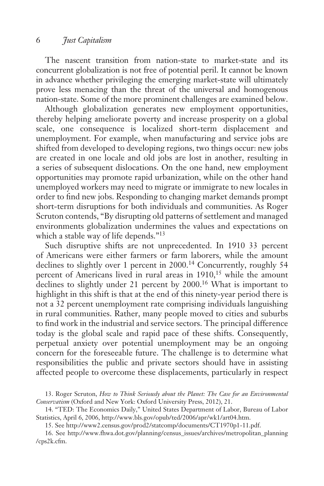The nascent transition from nation-state to market-state and its concurrent globalization is not free of potential peril. It cannot be known in advance whether privileging the emerging market-state will ultimately prove less menacing than the threat of the universal and homogenous nation-state. Some of the more prominent challenges are examined below.

Although globalization generates new employment opportunities, thereby helping ameliorate poverty and increase prosperity on a global scale, one consequence is localized short-term displacement and unemployment. For example, when manufacturing and service jobs are shifted from developed to developing regions, two things occur: new jobs are created in one locale and old jobs are lost in another, resulting in a series of subsequent dislocations. On the one hand, new employment opportunities may promote rapid urbanization, while on the other hand unemployed workers may need to migrate or immigrate to new locales in order to find new jobs. Responding to changing market demands prompt short-term disruptions for both individuals and communities. As Roger Scruton contends, "By disrupting old patterns of settlement and managed environments globalization undermines the values and expectations on which a stable way of life depends."<sup>13</sup>

Such disruptive shifts are not unprecedented. In 1910 33 percent of Americans were either farmers or farm laborers, while the amount declines to slightly over 1 percent in 2000.<sup>14</sup> Concurrently, roughly 54 percent of Americans lived in rural areas in 1910,<sup>15</sup> while the amount declines to slightly under 21 percent by 2000.16 What is important to highlight in this shift is that at the end of this ninety-year period there is not a 32 percent unemployment rate comprising individuals languishing in rural communities. Rather, many people moved to cities and suburbs to find work in the industrial and service sectors. The principal difference today is the global scale and rapid pace of these shifts. Consequently, perpetual anxiety over potential unemployment may be an ongoing concern for the foreseeable future. The challenge is to determine what responsibilities the public and private sectors should have in assisting affected people to overcome these displacements, particularly in respect

<sup>13.</sup> Roger Scruton, *How to Think Seriously about the Planet: The Case for an Environmental Conservatism* (Oxford and New York: Oxford University Press, 2012), 21.

<sup>14. &</sup>quot;TED: The Economics Daily," United States Department of Labor, Bureau of Labor Statistics, April 6, 2006, http://www.bls.gov/opub/ted/2006/apr/wk1/art04.htm.

<sup>15.</sup> See http://www2.census.gov/prod2/statcomp/documents/CT1970p1-11.pdf.

<sup>16.</sup> See http://www.fhwa.dot.gov/planning/census\_issues/archives/metropolitan\_planning /cps2k.cfm.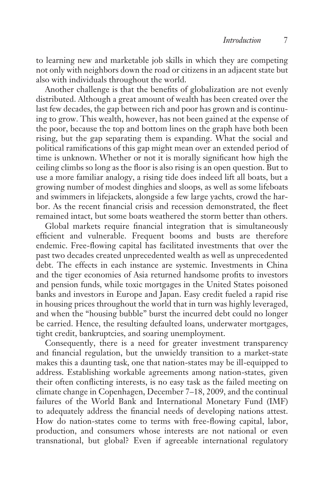to learning new and marketable job skills in which they are competing not only with neighbors down the road or citizens in an adjacent state but also with individuals throughout the world.

Another challenge is that the benefits of globalization are not evenly distributed. Although a great amount of wealth has been created over the last few decades, the gap between rich and poor has grown and is continuing to grow. This wealth, however, has not been gained at the expense of the poor, because the top and bottom lines on the graph have both been rising, but the gap separating them is expanding. What the social and political ramifications of this gap might mean over an extended period of time is unknown. Whether or not it is morally significant how high the ceiling climbs so long as the floor is also rising is an open question. But to use a more familiar analogy, a rising tide does indeed lift all boats, but a growing number of modest dinghies and sloops, as well as some lifeboats and swimmers in lifejackets, alongside a few large yachts, crowd the harbor. As the recent financial crisis and recession demonstrated, the fleet remained intact, but some boats weathered the storm better than others.

Global markets require financial integration that is simultaneously efficient and vulnerable. Frequent booms and busts are therefore endemic. Free-flowing capital has facilitated investments that over the past two decades created unprecedented wealth as well as unprecedented debt. The effects in each instance are systemic. Investments in China and the tiger economies of Asia returned handsome profits to investors and pension funds, while toxic mortgages in the United States poisoned banks and investors in Europe and Japan. Easy credit fueled a rapid rise in housing prices throughout the world that in turn was highly leveraged, and when the "housing bubble" burst the incurred debt could no longer be carried. Hence, the resulting defaulted loans, underwater mortgages, tight credit, bankruptcies, and soaring unemployment.

Consequently, there is a need for greater investment transparency and financial regulation, but the unwieldy transition to a market-state makes this a daunting task, one that nation-states may be ill-equipped to address. Establishing workable agreements among nation-states, given their often conflicting interests, is no easy task as the failed meeting on climate change in Copenhagen, December 7–18, 2009, and the continual failures of the World Bank and International Monetary Fund (IMF) to adequately address the financial needs of developing nations attest. How do nation-states come to terms with free-flowing capital, labor, production, and consumers whose interests are not national or even transnational, but global? Even if agreeable international regulatory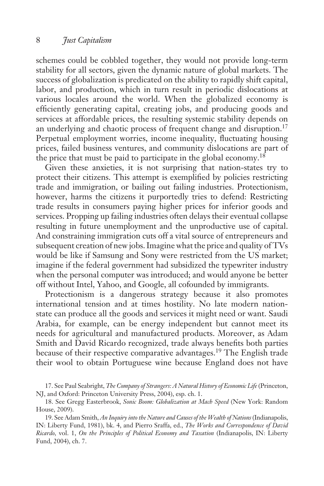schemes could be cobbled together, they would not provide long-term stability for all sectors, given the dynamic nature of global markets. The success of globalization is predicated on the ability to rapidly shift capital, labor, and production, which in turn result in periodic dislocations at various locales around the world. When the globalized economy is efficiently generating capital, creating jobs, and producing goods and services at affordable prices, the resulting systemic stability depends on an underlying and chaotic process of frequent change and disruption.<sup>17</sup> Perpetual employment worries, income inequality, fluctuating housing prices, failed business ventures, and community dislocations are part of the price that must be paid to participate in the global economy.<sup>18</sup>

Given these anxieties, it is not surprising that nation-states try to protect their citizens. This attempt is exemplified by policies restricting trade and immigration, or bailing out failing industries. Protectionism, however, harms the citizens it purportedly tries to defend: Restricting trade results in consumers paying higher prices for inferior goods and services. Propping up failing industries often delays their eventual collapse resulting in future unemployment and the unproductive use of capital. And constraining immigration cuts off a vital source of entrepreneurs and subsequent creation of new jobs. Imagine what the price and quality of TVs would be like if Samsung and Sony were restricted from the US market; imagine if the federal government had subsidized the typewriter industry when the personal computer was introduced; and would anyone be better off without Intel, Yahoo, and Google, all cofounded by immigrants.

Protectionism is a dangerous strategy because it also promotes international tension and at times hostility. No late modern nationstate can produce all the goods and services it might need or want. Saudi Arabia, for example, can be energy independent but cannot meet its needs for agricultural and manufactured products. Moreover, as Adam Smith and David Ricardo recognized, trade always benefits both parties because of their respective comparative advantages.19 The English trade their wool to obtain Portuguese wine because England does not have

17. See Paul Seabright, *The Company of Strangers: A Natural History of Economic Life* (Princeton, NJ, and Oxford: Princeton University Press, 2004), esp. ch. 1.

18. See Gregg Easterbrook, *Sonic Boom: Globalization at Mach Speed* (New York: Random House, 2009).

19. See Adam Smith, *An Inquiry into the Nature and Causes of the Wealth of Nations* (Indianapolis, IN: Liberty Fund, 1981), bk. 4, and Pierro Sraffa, ed., *The Works and Correspondence of David Ricardo,* vol. 1, *On the Principles of Political Economy and Taxation* (Indianapolis, IN: Liberty Fund, 2004), ch. 7.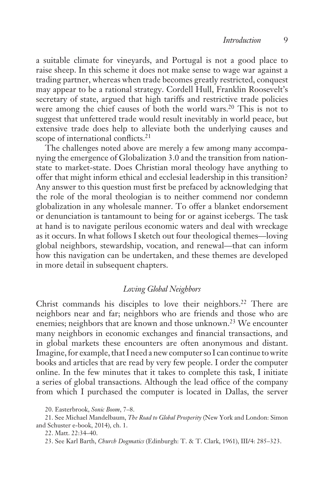a suitable climate for vineyards, and Portugal is not a good place to raise sheep. In this scheme it does not make sense to wage war against a trading partner, whereas when trade becomes greatly restricted, conquest may appear to be a rational strategy. Cordell Hull, Franklin Roosevelt's secretary of state, argued that high tariffs and restrictive trade policies were among the chief causes of both the world wars.<sup>20</sup> This is not to suggest that unfettered trade would result inevitably in world peace, but extensive trade does help to alleviate both the underlying causes and scope of international conflicts.<sup>21</sup>

The challenges noted above are merely a few among many accompanying the emergence of Globalization 3.0 and the transition from nationstate to market-state. Does Christian moral theology have anything to offer that might inform ethical and ecclesial leadership in this transition? Any answer to this question must first be prefaced by acknowledging that the role of the moral theologian is to neither commend nor condemn globalization in any wholesale manner. To offer a blanket endorsement or denunciation is tantamount to being for or against icebergs. The task at hand is to navigate perilous economic waters and deal with wreckage as it occurs. In what follows I sketch out four theological themes—loving global neighbors, stewardship, vocation, and renewal—that can inform how this navigation can be undertaken, and these themes are developed in more detail in subsequent chapters.

### *Loving Global Neighbors*

Christ commands his disciples to love their neighbors.<sup>22</sup> There are neighbors near and far; neighbors who are friends and those who are enemies; neighbors that are known and those unknown.<sup>23</sup> We encounter many neighbors in economic exchanges and financial transactions, and in global markets these encounters are often anonymous and distant. Imagine, for example, that I need a new computer so I can continue to write books and articles that are read by very few people. I order the computer online. In the few minutes that it takes to complete this task, I initiate a series of global transactions. Although the lead office of the company from which I purchased the computer is located in Dallas, the server

<sup>20.</sup> Easterbrook, *Sonic Boom*, 7–8.

<sup>21.</sup> See Michael Mandelbaum, *The Road to Global Prosperity* (New York and London: Simon and Schuster e-book, 2014), ch. 1.

<sup>22.</sup> Matt. 22:34–40.

<sup>23.</sup> See Karl Barth, *Church Dogmatics* (Edinburgh: T. & T. Clark, 1961), III/4: 285–323.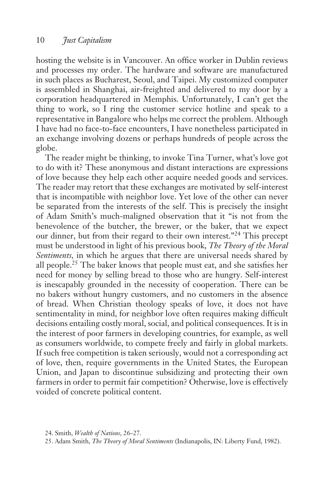hosting the website is in Vancouver. An office worker in Dublin reviews and processes my order. The hardware and software are manufactured in such places as Bucharest, Seoul, and Taipei. My customized computer is assembled in Shanghai, air-freighted and delivered to my door by a corporation headquartered in Memphis. Unfortunately, I can't get the thing to work, so I ring the customer service hotline and speak to a representative in Bangalore who helps me correct the problem. Although I have had no face-to-face encounters, I have nonetheless participated in an exchange involving dozens or perhaps hundreds of people across the globe.

The reader might be thinking, to invoke Tina Turner, what's love got to do with it? These anonymous and distant interactions are expressions of love because they help each other acquire needed goods and services. The reader may retort that these exchanges are motivated by self-interest that is incompatible with neighbor love. Yet love of the other can never be separated from the interests of the self. This is precisely the insight of Adam Smith's much-maligned observation that it "is not from the benevolence of the butcher, the brewer, or the baker, that we expect our dinner, but from their regard to their own interest."24 This precept must be understood in light of his previous book, *The Theory of the Moral Sentiments,* in which he argues that there are universal needs shared by all people.25 The baker knows that people must eat, and she satisfies her need for money by selling bread to those who are hungry. Self-interest is inescapably grounded in the necessity of cooperation. There can be no bakers without hungry customers, and no customers in the absence of bread. When Christian theology speaks of love, it does not have sentimentality in mind, for neighbor love often requires making difficult decisions entailing costly moral, social, and political consequences. It is in the interest of poor farmers in developing countries, for example, as well as consumers worldwide, to compete freely and fairly in global markets. If such free competition is taken seriously, would not a corresponding act of love, then, require governments in the United States, the European Union, and Japan to discontinue subsidizing and protecting their own farmers in order to permit fair competition? Otherwise, love is effectively voided of concrete political content.

25. Adam Smith, *The Theory of Moral Sentiments* (Indianapolis, IN: Liberty Fund, 1982).

<sup>24.</sup> Smith, *Wealth of Nations*, 26–27.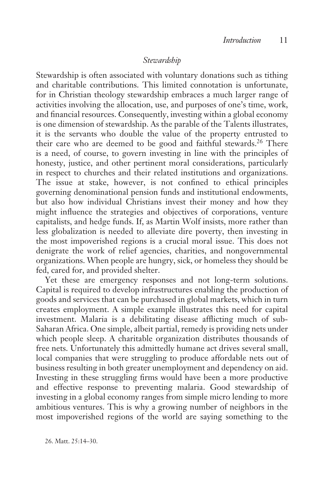### *Stewardship*

Stewardship is often associated with voluntary donations such as tithing and charitable contributions. This limited connotation is unfortunate, for in Christian theology stewardship embraces a much larger range of activities involving the allocation, use, and purposes of one's time, work, and financial resources. Consequently, investing within a global economy is one dimension of stewardship. As the parable of the Talents illustrates, it is the servants who double the value of the property entrusted to their care who are deemed to be good and faithful stewards.<sup>26</sup> There is a need, of course, to govern investing in line with the principles of honesty, justice, and other pertinent moral considerations, particularly in respect to churches and their related institutions and organizations. The issue at stake, however, is not confined to ethical principles governing denominational pension funds and institutional endowments, but also how individual Christians invest their money and how they might influence the strategies and objectives of corporations, venture capitalists, and hedge funds. If, as Martin Wolf insists, more rather than less globalization is needed to alleviate dire poverty, then investing in the most impoverished regions is a crucial moral issue. This does not denigrate the work of relief agencies, charities, and nongovernmental organizations. When people are hungry, sick, or homeless they should be fed, cared for, and provided shelter.

Yet these are emergency responses and not long-term solutions. Capital is required to develop infrastructures enabling the production of goods and services that can be purchased in global markets, which in turn creates employment. A simple example illustrates this need for capital investment. Malaria is a debilitating disease afflicting much of sub-Saharan Africa. One simple, albeit partial, remedy is providing nets under which people sleep. A charitable organization distributes thousands of free nets. Unfortunately this admittedly humane act drives several small, local companies that were struggling to produce affordable nets out of business resulting in both greater unemployment and dependency on aid. Investing in these struggling firms would have been a more productive and effective response to preventing malaria. Good stewardship of investing in a global economy ranges from simple micro lending to more ambitious ventures. This is why a growing number of neighbors in the most impoverished regions of the world are saying something to the

26. Matt. 25:14–30.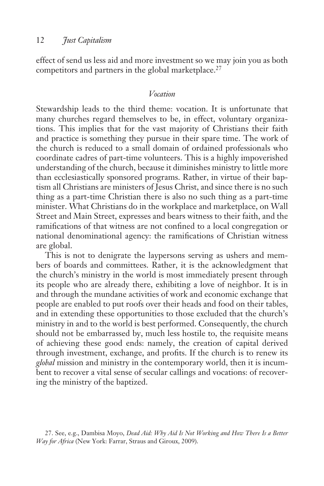effect of send us less aid and more investment so we may join you as both competitors and partners in the global marketplace.<sup>27</sup>

### *Vocation*

Stewardship leads to the third theme: vocation. It is unfortunate that many churches regard themselves to be, in effect, voluntary organizations. This implies that for the vast majority of Christians their faith and practice is something they pursue in their spare time. The work of the church is reduced to a small domain of ordained professionals who coordinate cadres of part-time volunteers. This is a highly impoverished understanding of the church, because it diminishes ministry to little more than ecclesiastically sponsored programs. Rather, in virtue of their baptism all Christians are ministers of Jesus Christ, and since there is no such thing as a part-time Christian there is also no such thing as a part-time minister. What Christians do in the workplace and marketplace, on Wall Street and Main Street, expresses and bears witness to their faith, and the ramifications of that witness are not confined to a local congregation or national denominational agency: the ramifications of Christian witness are global.

This is not to denigrate the laypersons serving as ushers and members of boards and committees. Rather, it is the acknowledgment that the church's ministry in the world is most immediately present through its people who are already there, exhibiting a love of neighbor. It is in and through the mundane activities of work and economic exchange that people are enabled to put roofs over their heads and food on their tables, and in extending these opportunities to those excluded that the church's ministry in and to the world is best performed. Consequently, the church should not be embarrassed by, much less hostile to, the requisite means of achieving these good ends: namely, the creation of capital derived through investment, exchange, and profits. If the church is to renew its *global* mission and ministry in the contemporary world, then it is incumbent to recover a vital sense of secular callings and vocations: of recovering the ministry of the baptized.

<sup>27.</sup> See, e.g., Dambisa Moyo, *Dead Aid: Why Aid Is Not Working and How There Is a Better Way for Africa* (New York: Farrar, Straus and Giroux, 2009).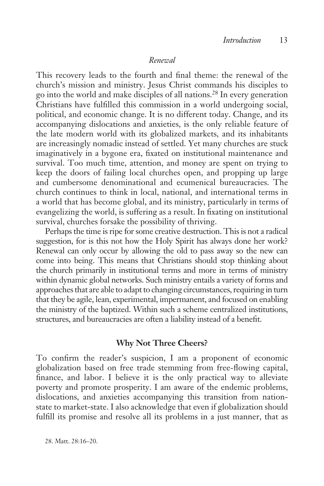### *Renewal*

This recovery leads to the fourth and final theme: the renewal of the church's mission and ministry. Jesus Christ commands his disciples to go into the world and make disciples of all nations.28 In every generation Christians have fulfilled this commission in a world undergoing social, political, and economic change. It is no different today. Change, and its accompanying dislocations and anxieties, is the only reliable feature of the late modern world with its globalized markets, and its inhabitants are increasingly nomadic instead of settled. Yet many churches are stuck imaginatively in a bygone era, fixated on institutional maintenance and survival. Too much time, attention, and money are spent on trying to keep the doors of failing local churches open, and propping up large and cumbersome denominational and ecumenical bureaucracies. The church continues to think in local, national, and international terms in a world that has become global, and its ministry, particularly in terms of evangelizing the world, is suffering as a result. In fixating on institutional survival, churches forsake the possibility of thriving.

Perhaps the time is ripe for some creative destruction. This is not a radical suggestion, for is this not how the Holy Spirit has always done her work? Renewal can only occur by allowing the old to pass away so the new can come into being. This means that Christians should stop thinking about the church primarily in institutional terms and more in terms of ministry within dynamic global networks. Such ministry entails a variety of forms and approaches that are able to adapt to changing circumstances, requiring in turn that they be agile, lean, experimental, impermanent, and focused on enabling the ministry of the baptized. Within such a scheme centralized institutions, structures, and bureaucracies are often a liability instead of a benefit.

### **Why Not Three Cheers?**

To confirm the reader's suspicion, I am a proponent of economic globalization based on free trade stemming from free-flowing capital, finance, and labor. I believe it is the only practical way to alleviate poverty and promote prosperity. I am aware of the endemic problems, dislocations, and anxieties accompanying this transition from nationstate to market-state. I also acknowledge that even if globalization should fulfill its promise and resolve all its problems in a just manner, that as

28. Matt. 28:16–20.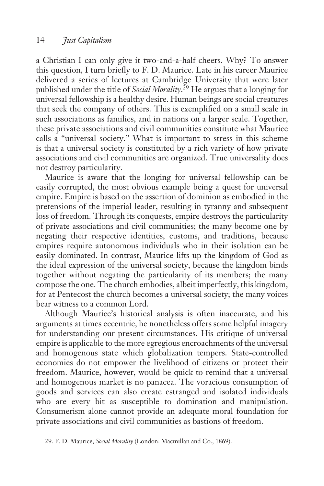a Christian I can only give it two-and-a-half cheers. Why? To answer this question, I turn briefly to F. D. Maurice. Late in his career Maurice delivered a series of lectures at Cambridge University that were later published under the title of *Social Morality*. 29 He argues that a longing for universal fellowship is a healthy desire. Human beings are social creatures that seek the company of others. This is exemplified on a small scale in such associations as families, and in nations on a larger scale. Together, these private associations and civil communities constitute what Maurice calls a "universal society." What is important to stress in this scheme is that a universal society is constituted by a rich variety of how private associations and civil communities are organized. True universality does not destroy particularity.

Maurice is aware that the longing for universal fellowship can be easily corrupted, the most obvious example being a quest for universal empire. Empire is based on the assertion of dominion as embodied in the pretensions of the imperial leader, resulting in tyranny and subsequent loss of freedom. Through its conquests, empire destroys the particularity of private associations and civil communities; the many become one by negating their respective identities, customs, and traditions, because empires require autonomous individuals who in their isolation can be easily dominated. In contrast, Maurice lifts up the kingdom of God as the ideal expression of the universal society, because the kingdom binds together without negating the particularity of its members; the many compose the one. The church embodies, albeit imperfectly, this kingdom, for at Pentecost the church becomes a universal society; the many voices bear witness to a common Lord.

Although Maurice's historical analysis is often inaccurate, and his arguments at times eccentric, he nonetheless offers some helpful imagery for understanding our present circumstances. His critique of universal empire is applicable to the more egregious encroachments of the universal and homogenous state which globalization tempers. State-controlled economies do not empower the livelihood of citizens or protect their freedom. Maurice, however, would be quick to remind that a universal and homogenous market is no panacea. The voracious consumption of goods and services can also create estranged and isolated individuals who are every bit as susceptible to domination and manipulation. Consumerism alone cannot provide an adequate moral foundation for private associations and civil communities as bastions of freedom.

<sup>29.</sup> F. D. Maurice, *Social Morality* (London: Macmillan and Co., 1869).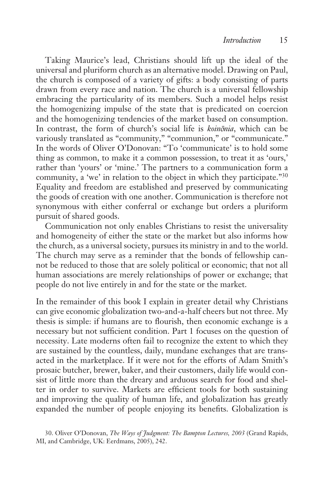Taking Maurice's lead, Christians should lift up the ideal of the universal and pluriform church as an alternative model. Drawing on Paul, the church is composed of a variety of gifts: a body consisting of parts drawn from every race and nation. The church is a universal fellowship embracing the particularity of its members. Such a model helps resist the homogenizing impulse of the state that is predicated on coercion and the homogenizing tendencies of the market based on consumption. In contrast, the form of church's social life is *koinōnia*, which can be variously translated as "community," "communion," or "communicate." In the words of Oliver O'Donovan: "To 'communicate' is to hold some thing as common, to make it a common possession, to treat it as 'ours,' rather than 'yours' or 'mine.' The partners to a communication form a community, a 'we' in relation to the object in which they participate."30 Equality and freedom are established and preserved by communicating the goods of creation with one another. Communication is therefore not synonymous with either conferral or exchange but orders a pluriform pursuit of shared goods.

Communication not only enables Christians to resist the universality and homogeneity of either the state or the market but also informs how the church, as a universal society, pursues its ministry in and to the world. The church may serve as a reminder that the bonds of fellowship cannot be reduced to those that are solely political or economic; that not all human associations are merely relationships of power or exchange; that people do not live entirely in and for the state or the market.

In the remainder of this book I explain in greater detail why Christians can give economic globalization two-and-a-half cheers but not three. My thesis is simple: if humans are to flourish, then economic exchange is a necessary but not sufficient condition. Part 1 focuses on the question of necessity. Late moderns often fail to recognize the extent to which they are sustained by the countless, daily, mundane exchanges that are transacted in the marketplace. If it were not for the efforts of Adam Smith's prosaic butcher, brewer, baker, and their customers, daily life would consist of little more than the dreary and arduous search for food and shelter in order to survive. Markets are efficient tools for both sustaining and improving the quality of human life, and globalization has greatly expanded the number of people enjoying its benefits. Globalization is

<sup>30.</sup> Oliver O'Donovan, *The Ways of Judgment: The Bampton Lectures, 2003* (Grand Rapids, MI, and Cambridge, UK: Eerdmans, 2005), 242.